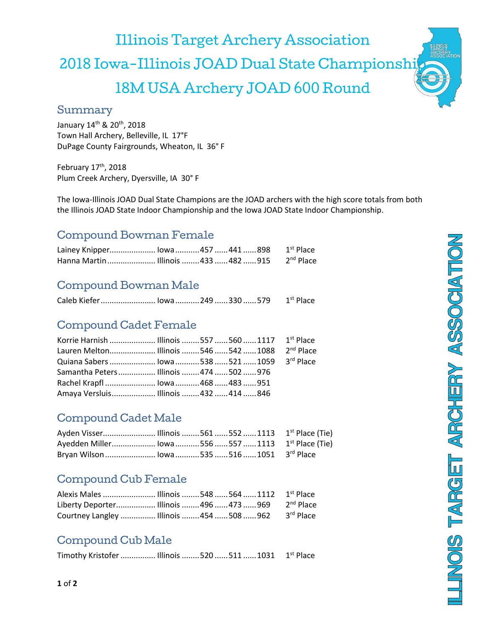Illinois Target Archery Association 2018 Iowa-Illinois JOAD Dual State Championship 18M USA Archery JOAD 600 Round

#### Summary

January 14<sup>th</sup> & 20<sup>th</sup>, 2018 Town Hall Archery, Belleville, IL 17°F DuPage County Fairgrounds, Wheaton, IL 36° F

February 17<sup>th</sup>, 2018 Plum Creek Archery, Dyersville, IA 30° F

The Iowa-Illinois JOAD Dual State Champions are the JOAD archers with the high score totals from both the Illinois JOAD State Indoor Championship and the Iowa JOAD State Indoor Championship.

# Compound Bowman Female

| Lainey Knipper lowa 457  441  898 1 <sup>st</sup> Place |  |  |  |
|---------------------------------------------------------|--|--|--|
|                                                         |  |  |  |

# Compound Bowman Male

| Caleb Kiefer  Iowa  249  330  579 1 <sup>st</sup> Place |  |  |  |
|---------------------------------------------------------|--|--|--|
|                                                         |  |  |  |

### Compound Cadet Female

| Lauren Melton Illinois  546  542  1088 2 <sup>nd</sup> Place |  |  |  |
|--------------------------------------------------------------|--|--|--|
| Quiana Sabers  Iowa 538 521  1059 3rd Place                  |  |  |  |
| Samantha Peters Illinois 474 502 976                         |  |  |  |
| Rachel Krapfl  lowa 468  483  951                            |  |  |  |
| Amaya Versluis Illinois  432  414  846                       |  |  |  |

# Compound Cadet Male

| Bryan Wilson  lowa  535  516  1051 3rd Place |  |  |  |
|----------------------------------------------|--|--|--|

# Compound Cub Female

| Liberty Deporter Illinois  496  473  969 2 <sup>nd</sup> Place |  |  |  |
|----------------------------------------------------------------|--|--|--|
| Courtney Langley  Illinois  454  508  962 3rd Place            |  |  |  |

# Compound Cub Male

Timothy Kristofer ................ Illinois ........520 ......511 ...... 1031 1st Place